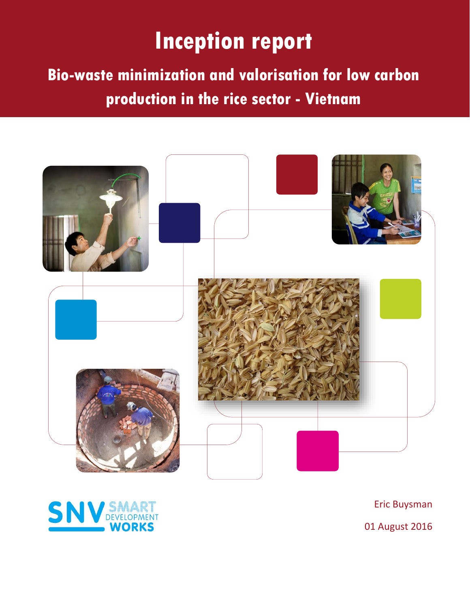## CTCN request 2015-040/VIE-01 **Technical Proposal: Bio-waste minimization for low carbon proof in rice sector in rice sector - and valorisation in rice sector**  $\mathbf{r}$

**Bio-waste minimization and valorisation for low carbon production in the rice sector - Vietnam**





Eric Buysman

01 August 2016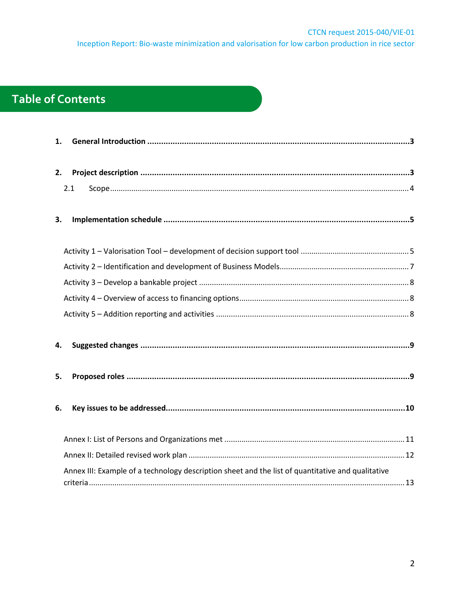## **Table of Contents**

| 1. |                                                                                                   |
|----|---------------------------------------------------------------------------------------------------|
|    |                                                                                                   |
| 2. |                                                                                                   |
|    | 2.1                                                                                               |
|    |                                                                                                   |
| 3. |                                                                                                   |
|    |                                                                                                   |
|    |                                                                                                   |
|    |                                                                                                   |
|    |                                                                                                   |
|    |                                                                                                   |
|    |                                                                                                   |
|    |                                                                                                   |
| 4. |                                                                                                   |
|    |                                                                                                   |
| 5. |                                                                                                   |
|    |                                                                                                   |
| 6. |                                                                                                   |
|    |                                                                                                   |
|    |                                                                                                   |
|    |                                                                                                   |
|    |                                                                                                   |
|    | Annex III: Example of a technology description sheet and the list of quantitative and qualitative |
|    |                                                                                                   |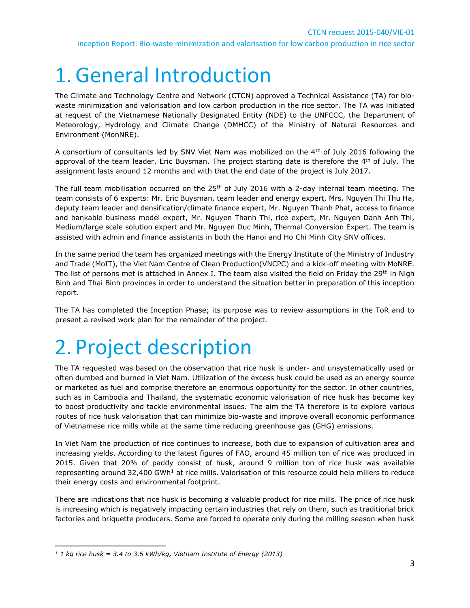# <span id="page-2-0"></span>1.General Introduction

The Climate and Technology Centre and Network (CTCN) approved a Technical Assistance (TA) for biowaste minimization and valorisation and low carbon production in the rice sector. The TA was initiated at request of the Vietnamese Nationally Designated Entity (NDE) to the UNFCCC, the Department of Meteorology, Hydrology and Climate Change (DMHCC) of the Ministry of Natural Resources and Environment (MonNRE).

A consortium of consultants led by SNV Viet Nam was mobilized on the 4<sup>th</sup> of July 2016 following the approval of the team leader, Eric Buysman. The project starting date is therefore the 4<sup>th</sup> of July. The assignment lasts around 12 months and with that the end date of the project is July 2017.

The full team mobilisation occurred on the  $25<sup>th</sup>$  of July 2016 with a 2-day internal team meeting. The team consists of 6 experts: Mr. Eric Buysman, team leader and energy expert, Mrs. Nguyen Thi Thu Ha, deputy team leader and densification/climate finance expert, Mr. Nguyen Thanh Phat, access to finance and bankable business model expert, Mr. Nguyen Thanh Thi, rice expert, Mr. Nguyen Danh Anh Thi, Medium/large scale solution expert and Mr. Nguyen Duc Minh, Thermal Conversion Expert. The team is assisted with admin and finance assistants in both the Hanoi and Ho Chi Minh City SNV offices.

In the same period the team has organized meetings with the Energy Institute of the Ministry of Industry and Trade (MoIT), the Viet Nam Centre of Clean Production(VNCPC) and a kick-off meeting with MoNRE. The list of persons met is attached in Annex I. The team also visited the field on Friday the 29<sup>th</sup> in Nigh Binh and Thai Binh provinces in order to understand the situation better in preparation of this inception report.

The TA has completed the Inception Phase; its purpose was to review assumptions in the ToR and to present a revised work plan for the remainder of the project.

# <span id="page-2-1"></span>2. Project description

The TA requested was based on the observation that rice husk is under- and unsystematically used or often dumbed and burned in Viet Nam. Utilization of the excess husk could be used as an energy source or marketed as fuel and comprise therefore an enormous opportunity for the sector. In other countries, such as in Cambodia and Thailand, the systematic economic valorisation of rice husk has become key to boost productivity and tackle environmental issues. The aim the TA therefore is to explore various routes of rice husk valorisation that can minimize bio-waste and improve overall economic performance of Vietnamese rice mills while at the same time reducing greenhouse gas (GHG) emissions.

In Viet Nam the production of rice continues to increase, both due to expansion of cultivation area and increasing yields. According to the latest figures of FAO, around 45 million ton of rice was produced in 2015. Given that 20% of paddy consist of husk, around 9 million ton of rice husk was available representing around 32,400 GWh<sup>1</sup> at rice mills. Valorisation of this resource could help millers to reduce their energy costs and environmental footprint.

There are indications that rice husk is becoming a valuable product for rice mills. The price of rice husk is increasing which is negatively impacting certain industries that rely on them, such as traditional brick factories and briquette producers. Some are forced to operate only during the milling season when husk

l *<sup>1</sup> 1 kg rice husk = 3.4 to 3.6 kWh/kg, Vietnam Institute of Energy (2013)*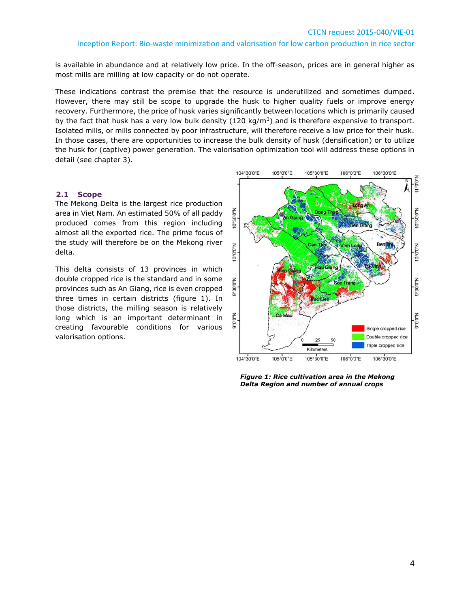is available in abundance and at relatively low price. In the off-season, prices are in general higher as most mills are milling at low capacity or do not operate.

These indications contrast the premise that the resource is underutilized and sometimes dumped. However, there may still be scope to upgrade the husk to higher quality fuels or improve energy recovery. Furthermore, the price of husk varies significantly between locations which is primarily caused by the fact that husk has a very low bulk density  $(120 \text{ kg/m}^3)$  and is therefore expensive to transport. Isolated mills, or mills connected by poor infrastructure, will therefore receive a low price for their husk. In those cases, there are opportunities to increase the bulk density of husk (densification) or to utilize the husk for (captive) power generation. The valorisation optimization tool will address these options in detail (see chapter 3).

#### <span id="page-3-0"></span>**2.1 Scope**

The Mekong Delta is the largest rice production area in Viet Nam. An estimated 50% of all paddy produced comes from this region including almost all the exported rice. The prime focus of the study will therefore be on the Mekong river delta.

This delta consists of 13 provinces in which double cropped rice is the standard and in some provinces such as An Giang, rice is even cropped three times in certain districts (figure 1). In those districts, the milling season is relatively long which is an important determinant in creating favourable conditions for various valorisation options.



*Figure 1: Rice cultivation area in the Mekong Delta Region and number of annual crops*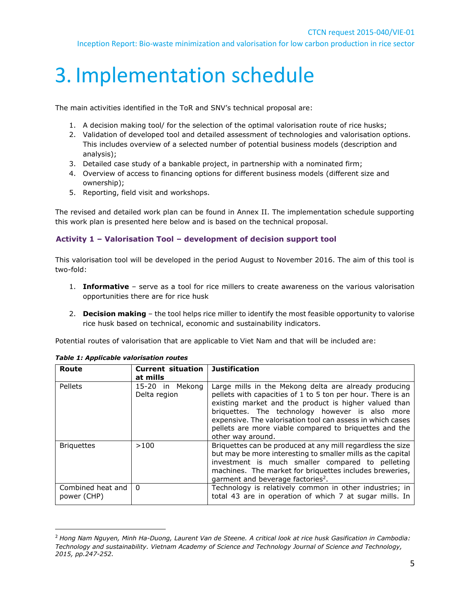# <span id="page-4-0"></span>3. Implementation schedule

The main activities identified in the ToR and SNV's technical proposal are:

- 1. A decision making tool/ for the selection of the optimal valorisation route of rice husks;
- 2. Validation of developed tool and detailed assessment of technologies and valorisation options. This includes overview of a selected number of potential business models (description and analysis);
- 3. Detailed case study of a bankable project, in partnership with a nominated firm;
- 4. Overview of access to financing options for different business models (different size and ownership);
- 5. Reporting, field visit and workshops.

The revised and detailed work plan can be found in Annex II. The implementation schedule supporting this work plan is presented here below and is based on the technical proposal.

### <span id="page-4-1"></span>**Activity 1 – Valorisation Tool – development of decision support tool**

This valorisation tool will be developed in the period August to November 2016. The aim of this tool is two-fold:

- 1. **Informative** serve as a tool for rice millers to create awareness on the various valorisation opportunities there are for rice husk
- 2. **Decision making** the tool helps rice miller to identify the most feasible opportunity to valorise rice husk based on technical, economic and sustainability indicators.

Potential routes of valorisation that are applicable to Viet Nam and that will be included are:

| Route                                | <b>Current situation</b><br>at mills | <b>Justification</b>                                                                                                                                                                                                                                                                                                                                                          |
|--------------------------------------|--------------------------------------|-------------------------------------------------------------------------------------------------------------------------------------------------------------------------------------------------------------------------------------------------------------------------------------------------------------------------------------------------------------------------------|
| Pellets                              | 15-20 in Mekong<br>Delta region      | Large mills in the Mekong delta are already producing<br>pellets with capacities of 1 to 5 ton per hour. There is an<br>existing market and the product is higher valued than<br>briquettes. The technology however is also more<br>expensive. The valorisation tool can assess in which cases<br>pellets are more viable compared to briquettes and the<br>other way around. |
| <b>Briquettes</b>                    | >100                                 | Briquettes can be produced at any mill regardless the size<br>but may be more interesting to smaller mills as the capital<br>investment is much smaller compared to pelleting<br>machines. The market for briquettes includes breweries,<br>garment and beverage factories <sup>2</sup> .                                                                                     |
| Combined heat and   0<br>power (CHP) |                                      | Technology is relatively common in other industries; in<br>total 43 are in operation of which 7 at sugar mills. In                                                                                                                                                                                                                                                            |

*Table 1: Applicable valorisation routes*

 $\overline{\phantom{a}}$ 

<sup>2</sup> *Hong Nam Nguyen, Minh Ha-Duong, Laurent Van de Steene. A critical look at rice husk Gasification in Cambodia: Technology and sustainability. Vietnam Academy of Science and Technology Journal of Science and Technology, 2015, pp.247-252.*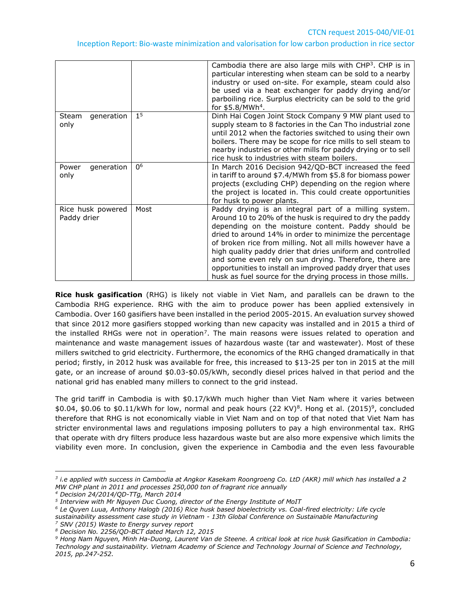|                                  |                | Cambodia there are also large mils with $CHP3$ . CHP is in<br>particular interesting when steam can be sold to a nearby<br>industry or used on-site. For example, steam could also<br>be used via a heat exchanger for paddy drying and/or<br>parboiling rice. Surplus electricity can be sold to the grid<br>for $$5.8/MWh4$ .                                                                                                                                                                                                                      |
|----------------------------------|----------------|------------------------------------------------------------------------------------------------------------------------------------------------------------------------------------------------------------------------------------------------------------------------------------------------------------------------------------------------------------------------------------------------------------------------------------------------------------------------------------------------------------------------------------------------------|
| generation<br>Steam<br>only      | 1 <sup>5</sup> | Dinh Hai Cogen Joint Stock Company 9 MW plant used to<br>supply steam to 8 factories in the Can Tho industrial zone<br>until 2012 when the factories switched to using their own<br>boilers. There may be scope for rice mills to sell steam to<br>nearby industries or other mills for paddy drying or to sell<br>rice husk to industries with steam boilers.                                                                                                                                                                                       |
| generation<br>Power<br>only      | 0 <sup>6</sup> | In March 2016 Decision 942/QD-BCT increased the feed<br>in tariff to around \$7.4/MWh from \$5.8 for biomass power<br>projects (excluding CHP) depending on the region where<br>the project is located in. This could create opportunities<br>for husk to power plants.                                                                                                                                                                                                                                                                              |
| Rice husk powered<br>Paddy drier | Most           | Paddy drying is an integral part of a milling system.<br>Around 10 to 20% of the husk is required to dry the paddy<br>depending on the moisture content. Paddy should be<br>dried to around 14% in order to minimize the percentage<br>of broken rice from milling. Not all mills however have a<br>high quality paddy drier that dries uniform and controlled<br>and some even rely on sun drying. Therefore, there are<br>opportunities to install an improved paddy dryer that uses<br>husk as fuel source for the drying process in those mills. |

**Rice husk gasification** (RHG) is likely not viable in Viet Nam, and parallels can be drawn to the Cambodia RHG experience. RHG with the aim to produce power has been applied extensively in Cambodia. Over 160 gasifiers have been installed in the period 2005-2015. An evaluation survey showed that since 2012 more gasifiers stopped working than new capacity was installed and in 2015 a third of the installed RHGs were not in operation<sup>7</sup>. The main reasons were issues related to operation and maintenance and waste management issues of hazardous waste (tar and wastewater). Most of these millers switched to grid electricity. Furthermore, the economics of the RHG changed dramatically in that period; firstly, in 2012 husk was available for free, this increased to \$13-25 per ton in 2015 at the mill gate, or an increase of around \$0.03-\$0.05/kWh, secondly diesel prices halved in that period and the national grid has enabled many millers to connect to the grid instead.

The grid tariff in Cambodia is with \$0.17/kWh much higher than Viet Nam where it varies between  $$0.04, $0.06$  to \$0.11/kWh for low, normal and peak hours (22 KV)<sup>8</sup>. Hong et al. (2015)<sup>9</sup>, concluded therefore that RHG is not economically viable in Viet Nam and on top of that noted that Viet Nam has stricter environmental laws and regulations imposing polluters to pay a high environmental tax. RHG that operate with dry filters produce less hazardous waste but are also more expensive which limits the viability even more. In conclusion, given the experience in Cambodia and the even less favourable

 $\overline{\phantom{a}}$ 

*<sup>3</sup> i.e applied with success in Cambodia at Angkor Kasekam Roongroeng Co. LtD (AKR) mill which has installed a 2 MW CHP plant in 2011 and processes 250,000 ton of fragrant rice annually*

*<sup>4</sup> Decision 24/2014/QD-TTg, March 2014*

*<sup>5</sup> Interview with Mr Nguyen Duc Cuong, director of the Energy Institute of MoIT*

*<sup>6</sup> Le Quyen Luua, Anthony Halogb (2016) Rice husk based bioelectricity vs. Coal-fired electricity: Life cycle sustainability assessment case study in Vietnam - 13th Global Conference on Sustainable Manufacturing <sup>7</sup> SNV (2015) Waste to Energy survey report*

*<sup>8</sup> Decision No. 2256/QD-BCT dated March 12, 2015*

*<sup>9</sup> Hong Nam Nguyen, Minh Ha-Duong, Laurent Van de Steene. A critical look at rice husk Gasification in Cambodia: Technology and sustainability. Vietnam Academy of Science and Technology Journal of Science and Technology, 2015, pp.247-252.*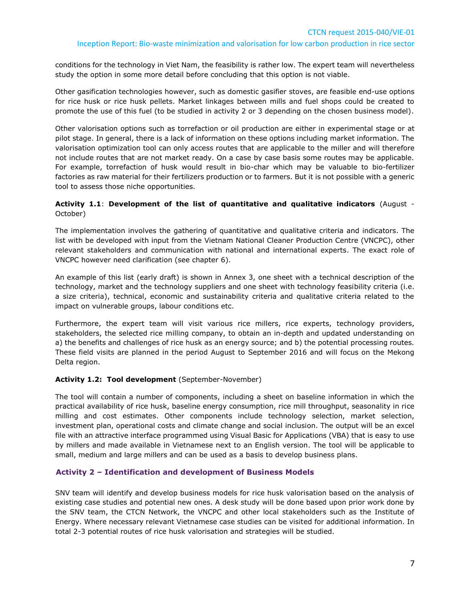conditions for the technology in Viet Nam, the feasibility is rather low. The expert team will nevertheless study the option in some more detail before concluding that this option is not viable.

Other gasification technologies however, such as domestic gasifier stoves, are feasible end-use options for rice husk or rice husk pellets. Market linkages between mills and fuel shops could be created to promote the use of this fuel (to be studied in activity 2 or 3 depending on the chosen business model).

Other valorisation options such as torrefaction or oil production are either in experimental stage or at pilot stage. In general, there is a lack of information on these options including market information. The valorisation optimization tool can only access routes that are applicable to the miller and will therefore not include routes that are not market ready. On a case by case basis some routes may be applicable. For example, torrefaction of husk would result in bio-char which may be valuable to bio-fertilizer factories as raw material for their fertilizers production or to farmers. But it is not possible with a generic tool to assess those niche opportunities.

#### **Activity 1.1**: **Development of the list of quantitative and qualitative indicators** (August - October)

The implementation involves the gathering of quantitative and qualitative criteria and indicators. The list with be developed with input from the Vietnam National Cleaner Production Centre (VNCPC), other relevant stakeholders and communication with national and international experts. The exact role of VNCPC however need clarification (see chapter 6).

An example of this list (early draft) is shown in Annex 3, one sheet with a technical description of the technology, market and the technology suppliers and one sheet with technology feasibility criteria (i.e. a size criteria), technical, economic and sustainability criteria and qualitative criteria related to the impact on vulnerable groups, labour conditions etc.

Furthermore, the expert team will visit various rice millers, rice experts, technology providers, stakeholders, the selected rice milling company, to obtain an in-depth and updated understanding on a) the benefits and challenges of rice husk as an energy source; and b) the potential processing routes. These field visits are planned in the period August to September 2016 and will focus on the Mekong Delta region.

#### **Activity 1.2: Tool development** (September-November)

The tool will contain a number of components, including a sheet on baseline information in which the practical availability of rice husk, baseline energy consumption, rice mill throughput, seasonality in rice milling and cost estimates. Other components include technology selection, market selection, investment plan, operational costs and climate change and social inclusion. The output will be an excel file with an attractive interface programmed using Visual Basic for Applications (VBA) that is easy to use by millers and made available in Vietnamese next to an English version. The tool will be applicable to small, medium and large millers and can be used as a basis to develop business plans.

#### <span id="page-6-0"></span>**Activity 2 – Identification and development of Business Models**

SNV team will identify and develop business models for rice husk valorisation based on the analysis of existing case studies and potential new ones. A desk study will be done based upon prior work done by the SNV team, the CTCN Network, the VNCPC and other local stakeholders such as the Institute of Energy. Where necessary relevant Vietnamese case studies can be visited for additional information. In total 2-3 potential routes of rice husk valorisation and strategies will be studied.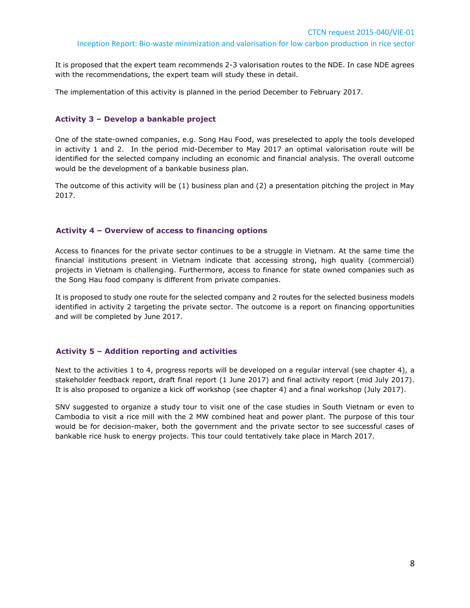It is proposed that the expert team recommends 2-3 valorisation routes to the NDE. In case NDE agrees with the recommendations, the expert team will study these in detail.

The implementation of this activity is planned in the period December to February 2017.

#### <span id="page-7-0"></span>**Activity 3 – Develop a bankable project**

One of the state-owned companies, e.g. Song Hau Food, was preselected to apply the tools developed in activity 1 and 2. In the period mid-December to May 2017 an optimal valorisation route will be identified for the selected company including an economic and financial analysis. The overall outcome would be the development of a bankable business plan.

The outcome of this activity will be (1) business plan and (2) a presentation pitching the project in May 2017.

#### <span id="page-7-1"></span>**Activity 4 – Overview of access to financing options**

Access to finances for the private sector continues to be a struggle in Vietnam. At the same time the financial institutions present in Vietnam indicate that accessing strong, high quality (commercial) projects in Vietnam is challenging. Furthermore, access to finance for state owned companies such as the Song Hau food company is different from private companies.

It is proposed to study one route for the selected company and 2 routes for the selected business models identified in activity 2 targeting the private sector. The outcome is a report on financing opportunities and will be completed by June 2017.

#### <span id="page-7-2"></span>**Activity 5 – Addition reporting and activities**

Next to the activities 1 to 4, progress reports will be developed on a regular interval (see chapter 4), a stakeholder feedback report, draft final report (1 June 2017) and final activity report (mid July 2017). It is also proposed to organize a kick off workshop (see chapter 4) and a final workshop (July 2017).

SNV suggested to organize a study tour to visit one of the case studies in South Vietnam or even to Cambodia to visit a rice mill with the 2 MW combined heat and power plant. The purpose of this tour would be for decision-maker, both the government and the private sector to see successful cases of bankable rice husk to energy projects. This tour could tentatively take place in March 2017.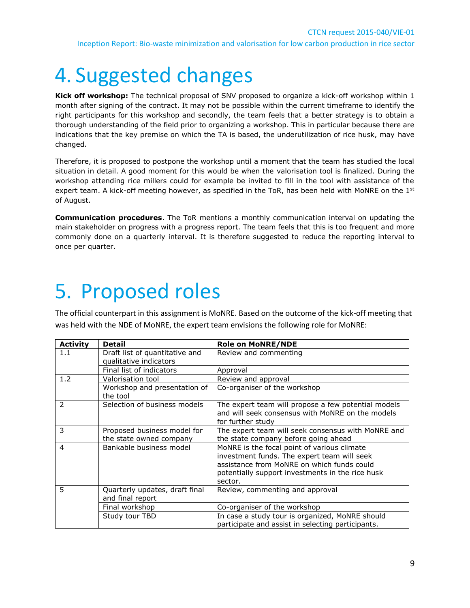# <span id="page-8-0"></span>4. Suggested changes

**Kick off workshop:** The technical proposal of SNV proposed to organize a kick-off workshop within 1 month after signing of the contract. It may not be possible within the current timeframe to identify the right participants for this workshop and secondly, the team feels that a better strategy is to obtain a thorough understanding of the field prior to organizing a workshop. This in particular because there are indications that the key premise on which the TA is based, the underutilization of rice husk, may have changed.

Therefore, it is proposed to postpone the workshop until a moment that the team has studied the local situation in detail. A good moment for this would be when the valorisation tool is finalized. During the workshop attending rice millers could for example be invited to fill in the tool with assistance of the expert team. A kick-off meeting however, as specified in the ToR, has been held with MoNRE on the 1<sup>st</sup> of August.

**Communication procedures**. The ToR mentions a monthly communication interval on updating the main stakeholder on progress with a progress report. The team feels that this is too frequent and more commonly done on a quarterly interval. It is therefore suggested to reduce the reporting interval to once per quarter.

# <span id="page-8-1"></span>5. Proposed roles

The official counterpart in this assignment is MoNRE. Based on the outcome of the kick-off meeting that was held with the NDE of MoNRE, the expert team envisions the following role for MoNRE:

| <b>Activity</b> | <b>Detail</b>                                            | <b>Role on MoNRE/NDE</b>                                                                                                                                                                                |  |  |  |  |  |
|-----------------|----------------------------------------------------------|---------------------------------------------------------------------------------------------------------------------------------------------------------------------------------------------------------|--|--|--|--|--|
| 1.1             | Draft list of quantitative and<br>qualitative indicators | Review and commenting                                                                                                                                                                                   |  |  |  |  |  |
|                 | Final list of indicators                                 | Approval                                                                                                                                                                                                |  |  |  |  |  |
| 1.2             | Valorisation tool                                        | Review and approval                                                                                                                                                                                     |  |  |  |  |  |
|                 | Workshop and presentation of<br>the tool                 | Co-organiser of the workshop                                                                                                                                                                            |  |  |  |  |  |
| 2               | Selection of business models                             | The expert team will propose a few potential models<br>and will seek consensus with MoNRE on the models<br>for further study                                                                            |  |  |  |  |  |
| 3               | Proposed business model for<br>the state owned company   | The expert team will seek consensus with MoNRE and<br>the state company before going ahead                                                                                                              |  |  |  |  |  |
| $\overline{4}$  | Bankable business model                                  | MoNRE is the focal point of various climate<br>investment funds. The expert team will seek<br>assistance from MoNRE on which funds could<br>potentially support investments in the rice husk<br>sector. |  |  |  |  |  |
| 5               | Quarterly updates, draft final<br>and final report       | Review, commenting and approval                                                                                                                                                                         |  |  |  |  |  |
|                 | Final workshop                                           | Co-organiser of the workshop                                                                                                                                                                            |  |  |  |  |  |
|                 | Study tour TBD                                           | In case a study tour is organized, MoNRE should<br>participate and assist in selecting participants.                                                                                                    |  |  |  |  |  |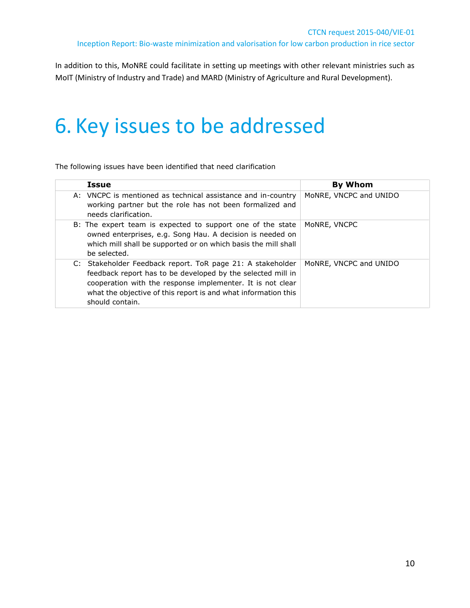In addition to this, MoNRE could facilitate in setting up meetings with other relevant ministries such as MoIT (Ministry of Industry and Trade) and MARD (Ministry of Agriculture and Rural Development).

# <span id="page-9-0"></span>6. Key issues to be addressed

The following issues have been identified that need clarification

| <b>Issue</b> |                                                                                                                                                                                                                                                                              | <b>By Whom</b>         |
|--------------|------------------------------------------------------------------------------------------------------------------------------------------------------------------------------------------------------------------------------------------------------------------------------|------------------------|
|              | A: VNCPC is mentioned as technical assistance and in-country<br>working partner but the role has not been formalized and<br>needs clarification.                                                                                                                             | MoNRE, VNCPC and UNIDO |
| be selected. | B: The expert team is expected to support one of the state<br>owned enterprises, e.g. Song Hau. A decision is needed on<br>which mill shall be supported or on which basis the mill shall                                                                                    | MoNRE, VNCPC           |
|              | C: Stakeholder Feedback report. ToR page 21: A stakeholder<br>feedback report has to be developed by the selected mill in<br>cooperation with the response implementer. It is not clear<br>what the objective of this report is and what information this<br>should contain. | MoNRE, VNCPC and UNIDO |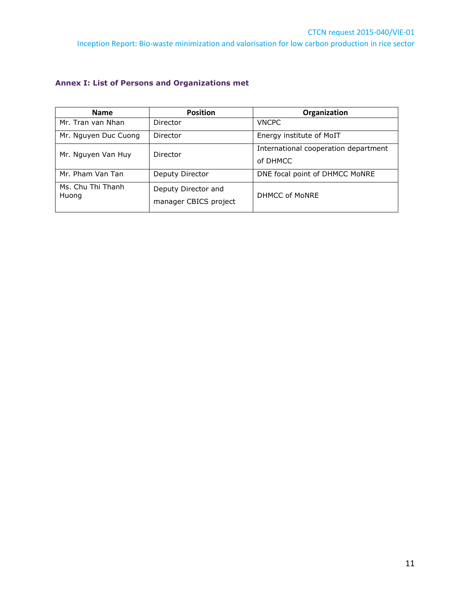### <span id="page-10-0"></span>**Annex I: List of Persons and Organizations met**

| <b>Name</b>                | <b>Position</b>       | Organization                         |  |  |  |  |
|----------------------------|-----------------------|--------------------------------------|--|--|--|--|
| Mr. Tran van Nhan          | Director              | <b>VNCPC</b>                         |  |  |  |  |
| Mr. Nguyen Duc Cuong       | Director              | Energy institute of MoIT             |  |  |  |  |
| Mr. Nguyen Van Huy         | Director              | International cooperation department |  |  |  |  |
|                            |                       | of DHMCC                             |  |  |  |  |
| Mr. Pham Van Tan           | Deputy Director       | DNE focal point of DHMCC MoNRE       |  |  |  |  |
| Ms. Chu Thi Thanh<br>Huong | Deputy Director and   | DHMCC of MoNRE                       |  |  |  |  |
|                            | manager CBICS project |                                      |  |  |  |  |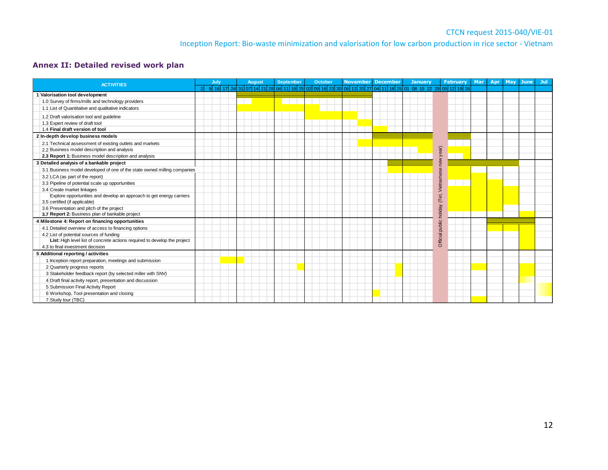### **Annex II: Detailed revised work plan**

<span id="page-11-0"></span>

| <b>ACTIVITIES</b>                                                                                     |  | July |  | <b>August</b>                                                                                           |  | September |  | October |  | <b>November December</b> |  |  |  |  | <b>January</b> |  |                 | February | <b>Mar</b> | Apr | May June | Jul |
|-------------------------------------------------------------------------------------------------------|--|------|--|---------------------------------------------------------------------------------------------------------|--|-----------|--|---------|--|--------------------------|--|--|--|--|----------------|--|-----------------|----------|------------|-----|----------|-----|
|                                                                                                       |  |      |  | 9 16 17 24 31 07 14 21 28 04 11 18 25 02 09 16 23 30 06 13 20 27 04 11 18 25 01 08 15 22 29 05 12 19 26 |  |           |  |         |  |                          |  |  |  |  |                |  |                 |          |            |     |          |     |
| 1 Valorisation tool development                                                                       |  |      |  |                                                                                                         |  |           |  |         |  |                          |  |  |  |  |                |  |                 |          |            |     |          |     |
| 1.0 Survey of firms/mills and technology providers                                                    |  |      |  |                                                                                                         |  |           |  |         |  |                          |  |  |  |  |                |  |                 |          |            |     |          |     |
| 1.1 List of Quantitative and qualitative indicators                                                   |  |      |  |                                                                                                         |  |           |  |         |  |                          |  |  |  |  |                |  |                 |          |            |     |          |     |
| 1.2 Draft valorisation tool and quideline                                                             |  |      |  |                                                                                                         |  |           |  |         |  |                          |  |  |  |  |                |  |                 |          |            |     |          |     |
| 1.3 Expert review of draft tool                                                                       |  |      |  |                                                                                                         |  |           |  |         |  |                          |  |  |  |  |                |  |                 |          |            |     |          |     |
| 1.4 Final draft version of tool                                                                       |  |      |  |                                                                                                         |  |           |  |         |  |                          |  |  |  |  |                |  |                 |          |            |     |          |     |
| 2 In-depth develop business models                                                                    |  |      |  |                                                                                                         |  |           |  |         |  |                          |  |  |  |  |                |  |                 |          |            |     |          |     |
| 2.1 Technical assessment of existing outlets and markets                                              |  |      |  |                                                                                                         |  |           |  |         |  |                          |  |  |  |  |                |  |                 |          |            |     |          |     |
| 2.2 Business model description and analysis                                                           |  |      |  |                                                                                                         |  |           |  |         |  |                          |  |  |  |  |                |  | year)           |          |            |     |          |     |
| 2.3 Report 1: Business model description and analysis                                                 |  |      |  |                                                                                                         |  |           |  |         |  |                          |  |  |  |  |                |  |                 |          |            |     |          |     |
| 3 Detailed analysis of a bankable project                                                             |  |      |  |                                                                                                         |  |           |  |         |  |                          |  |  |  |  |                |  |                 |          |            |     |          |     |
| 3.1 Business model developed of one of the state owned milling companies                              |  |      |  |                                                                                                         |  |           |  |         |  |                          |  |  |  |  |                |  |                 |          |            |     |          |     |
| 3.2 LCA (as part of the report)                                                                       |  |      |  |                                                                                                         |  |           |  |         |  |                          |  |  |  |  |                |  | Vietnames       |          |            |     |          |     |
| 3.3 Pipeline of potential scale up opportunities                                                      |  |      |  |                                                                                                         |  |           |  |         |  |                          |  |  |  |  |                |  |                 |          |            |     |          |     |
| 3.4 Create market linkages                                                                            |  |      |  |                                                                                                         |  |           |  |         |  |                          |  |  |  |  |                |  |                 |          |            |     |          |     |
| Explore opportunities and develop an approach to get energy carriers<br>3.5 certified (if applicable) |  |      |  |                                                                                                         |  |           |  |         |  |                          |  |  |  |  |                |  | (Tet,           |          |            |     |          |     |
| 3.6 Presentation and pitch of the project                                                             |  |      |  |                                                                                                         |  |           |  |         |  |                          |  |  |  |  |                |  |                 |          |            |     |          |     |
| 3.7 Report 2: Business plan of bankable project                                                       |  |      |  |                                                                                                         |  |           |  |         |  |                          |  |  |  |  |                |  | holiday         |          |            |     |          |     |
| 4 Milestone 4: Report on financing opportunities                                                      |  |      |  |                                                                                                         |  |           |  |         |  |                          |  |  |  |  |                |  |                 |          |            |     |          |     |
| 4.1 Detailed overview of access to financing options                                                  |  |      |  |                                                                                                         |  |           |  |         |  |                          |  |  |  |  |                |  | Official public |          |            |     |          |     |
| 4.2 List of potential sources of funding                                                              |  |      |  |                                                                                                         |  |           |  |         |  |                          |  |  |  |  |                |  |                 |          |            |     |          |     |
| List: High level list of concrete actions required to develop the project                             |  |      |  |                                                                                                         |  |           |  |         |  |                          |  |  |  |  |                |  |                 |          |            |     |          |     |
| 4.3 to final investment decision                                                                      |  |      |  |                                                                                                         |  |           |  |         |  |                          |  |  |  |  |                |  |                 |          |            |     |          |     |
| 5 Additional reporting / activities                                                                   |  |      |  |                                                                                                         |  |           |  |         |  |                          |  |  |  |  |                |  |                 |          |            |     |          |     |
| 1 Inception report preparation, meetings and submission                                               |  |      |  |                                                                                                         |  |           |  |         |  |                          |  |  |  |  |                |  |                 |          |            |     |          |     |
| 2 Quarterly progress reports                                                                          |  |      |  |                                                                                                         |  |           |  |         |  |                          |  |  |  |  |                |  |                 |          |            |     |          |     |
| 3 Stakeholder feedback report (by selected miller with SNV)                                           |  |      |  |                                                                                                         |  |           |  |         |  |                          |  |  |  |  |                |  |                 |          |            |     |          |     |
| 4 Draft final activity report, presentation and discussion                                            |  |      |  |                                                                                                         |  |           |  |         |  |                          |  |  |  |  |                |  |                 |          |            |     |          |     |
| 5 Submission Final Activity Report                                                                    |  |      |  |                                                                                                         |  |           |  |         |  |                          |  |  |  |  |                |  |                 |          |            |     |          |     |
| 6 Workshop, Tool presentation and closing                                                             |  |      |  |                                                                                                         |  |           |  |         |  |                          |  |  |  |  |                |  |                 |          |            |     |          |     |
| 7 Study tour (TBC)                                                                                    |  |      |  |                                                                                                         |  |           |  |         |  |                          |  |  |  |  |                |  |                 |          |            |     |          |     |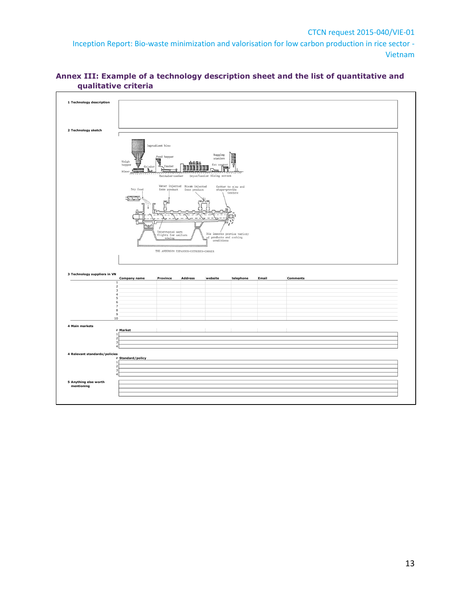

### <span id="page-12-0"></span>**Annex III: Example of a technology description sheet and the list of quantitative and qualitative criteria**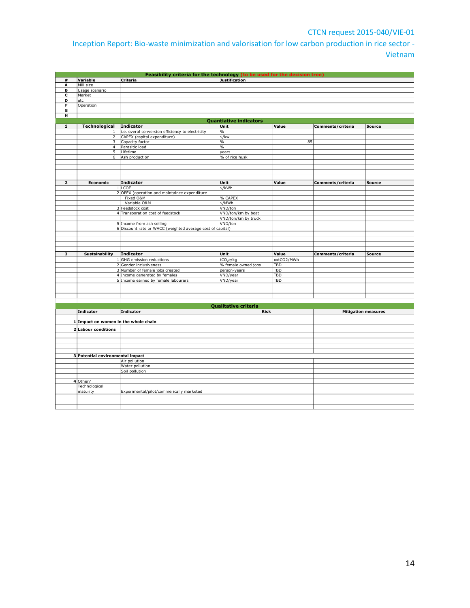### CTCN request 2015-040/VIE-01

Inception Report: Bio-waste minimization and valorisation for low carbon production in rice sector - Vietnam

| #              | Variable                             | Feasibility criteria for the technology (to be used for the decision tree)<br>Criteria | <b>Justification</b>                |            |                            |               |
|----------------|--------------------------------------|----------------------------------------------------------------------------------------|-------------------------------------|------------|----------------------------|---------------|
| A              | Mill size                            |                                                                                        |                                     |            |                            |               |
| в              | Usage scenario                       |                                                                                        |                                     |            |                            |               |
| c              | Market                               |                                                                                        |                                     |            |                            |               |
| D              | etc                                  |                                                                                        |                                     |            |                            |               |
| F              | Operation                            |                                                                                        |                                     |            |                            |               |
| G              |                                      |                                                                                        |                                     |            |                            |               |
| н              |                                      |                                                                                        |                                     |            |                            |               |
|                |                                      |                                                                                        | <b>Quantiative indicators</b>       |            |                            |               |
| ${\bf 1}$      | Technological                        | Indicator                                                                              | Unit                                | Value      | Comments/criteria          | <b>Source</b> |
|                | $\mathbf{1}$                         | i.e. overal conversion efficiency to electricity                                       | $\%$                                |            |                            |               |
|                | $\overline{2}$                       | CAPEX (capital expenditure)                                                            | \$/kw                               |            |                            |               |
|                | 3                                    | Capacity factor                                                                        | $\%$                                | 85         |                            |               |
|                | $\overline{4}$<br>$\overline{5}$     | Parasitic load                                                                         | $\frac{0}{0}$                       |            |                            |               |
|                | 6                                    | Lifetime<br>Ash production                                                             | years<br>% of rice husk             |            |                            |               |
|                |                                      |                                                                                        |                                     |            |                            |               |
|                |                                      |                                                                                        |                                     |            |                            |               |
|                |                                      |                                                                                        |                                     |            |                            |               |
|                |                                      |                                                                                        |                                     |            |                            |               |
| $\overline{2}$ | Economic                             | <b>Indicator</b>                                                                       | Unit                                | Value      | Comments/criteria          | <b>Source</b> |
|                |                                      | 1 LCOE                                                                                 | \$/kWh                              |            |                            |               |
|                |                                      | 2 OPEX (operation and maintaince expenditure                                           |                                     |            |                            |               |
|                |                                      | Fixed O&M                                                                              | % CAPEX                             |            |                            |               |
|                |                                      | Variable O&M                                                                           | \$/MWh                              |            |                            |               |
|                |                                      | 3 Feedstock cost                                                                       | VND/ton                             |            |                            |               |
|                |                                      | 4 Transporation cost of feedstock                                                      | VND/ton/km by boat                  |            |                            |               |
|                |                                      |                                                                                        | VND/ton/km by truck                 |            |                            |               |
|                |                                      | 5 Income from ash selling                                                              | VND/ton                             |            |                            |               |
|                |                                      | 6 Discount rate or WACC (weighted average cost of capital)                             |                                     |            |                            |               |
|                |                                      |                                                                                        |                                     |            |                            |               |
|                |                                      |                                                                                        |                                     |            |                            |               |
|                |                                      |                                                                                        |                                     |            |                            |               |
| з              | <b>Sustainability</b>                | <b>Indicator</b>                                                                       | Unit                                | Value      | Comments/criteria          | <b>Source</b> |
|                |                                      | 1 GHG emission reductions                                                              | tCO <sub>2</sub> e/kg               | xxtCO2/MWh |                            |               |
|                |                                      | 2 Gender inclusiveness                                                                 | % female owned jobs                 | <b>TBD</b> |                            |               |
|                |                                      | 3 Number of female jobs created                                                        | person-years                        | <b>TBD</b> |                            |               |
|                |                                      | 4 Income generated by females                                                          | VND/year                            | TBD        |                            |               |
|                |                                      | 5 Income earned by female labourers                                                    | VND/year                            | TBD        |                            |               |
|                |                                      |                                                                                        |                                     |            |                            |               |
|                |                                      |                                                                                        |                                     |            |                            |               |
|                |                                      |                                                                                        |                                     |            |                            |               |
|                |                                      |                                                                                        |                                     |            |                            |               |
|                | <b>Indicator</b>                     | <b>Indicator</b>                                                                       | Qualitative criteria<br><b>Risk</b> |            | <b>Mitigation measures</b> |               |
|                |                                      |                                                                                        |                                     |            |                            |               |
|                | 1 Impact on women in the whole chain |                                                                                        |                                     |            |                            |               |
|                |                                      |                                                                                        |                                     |            |                            |               |
|                | 2 Labour conditions                  |                                                                                        |                                     |            |                            |               |
|                |                                      |                                                                                        |                                     |            |                            |               |
|                |                                      |                                                                                        |                                     |            |                            |               |
|                |                                      |                                                                                        |                                     |            |                            |               |
|                | 3 Potential environmental impact     |                                                                                        |                                     |            |                            |               |
|                |                                      | Air pollution                                                                          |                                     |            |                            |               |
|                |                                      | Water pollution                                                                        |                                     |            |                            |               |
|                |                                      | Soil pollution                                                                         |                                     |            |                            |               |
|                |                                      |                                                                                        |                                     |            |                            |               |
|                | 4 Other?                             |                                                                                        |                                     |            |                            |               |
|                | Technological                        |                                                                                        |                                     |            |                            |               |
|                | maturity                             | Experimental/pilot/commerically marketed                                               |                                     |            |                            |               |
|                |                                      |                                                                                        |                                     |            |                            |               |
|                |                                      |                                                                                        |                                     |            |                            |               |
|                |                                      |                                                                                        |                                     |            |                            |               |